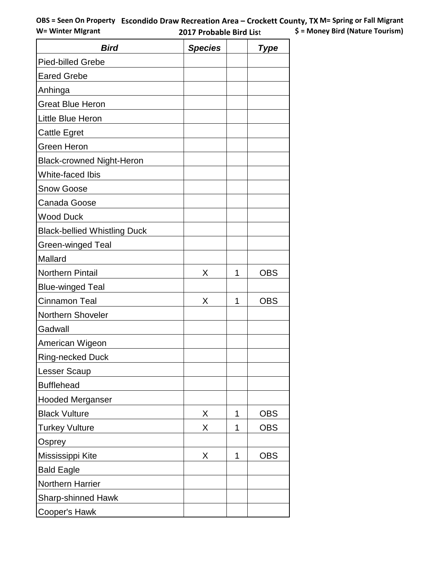| <b>Bird</b>                         | <b>Species</b> |   | Type       |
|-------------------------------------|----------------|---|------------|
| <b>Pied-billed Grebe</b>            |                |   |            |
| <b>Eared Grebe</b>                  |                |   |            |
| Anhinga                             |                |   |            |
| <b>Great Blue Heron</b>             |                |   |            |
| Little Blue Heron                   |                |   |            |
| <b>Cattle Egret</b>                 |                |   |            |
| <b>Green Heron</b>                  |                |   |            |
| <b>Black-crowned Night-Heron</b>    |                |   |            |
| White-faced Ibis                    |                |   |            |
| <b>Snow Goose</b>                   |                |   |            |
| Canada Goose                        |                |   |            |
| <b>Wood Duck</b>                    |                |   |            |
| <b>Black-bellied Whistling Duck</b> |                |   |            |
| <b>Green-winged Teal</b>            |                |   |            |
| Mallard                             |                |   |            |
| <b>Northern Pintail</b>             | X              | 1 | <b>OBS</b> |
| <b>Blue-winged Teal</b>             |                |   |            |
| <b>Cinnamon Teal</b>                | X              | 1 | <b>OBS</b> |
| <b>Northern Shoveler</b>            |                |   |            |
| Gadwall                             |                |   |            |
| American Wigeon                     |                |   |            |
| <b>Ring-necked Duck</b>             |                |   |            |
| <b>Lesser Scaup</b>                 |                |   |            |
| <b>Bufflehead</b>                   |                |   |            |
| <b>Hooded Merganser</b>             |                |   |            |
| <b>Black Vulture</b>                | X              | 1 | <b>OBS</b> |
| <b>Turkey Vulture</b>               | X              | 1 | <b>OBS</b> |
| Osprey                              |                |   |            |
| Mississippi Kite                    | X              | 1 | <b>OBS</b> |
| <b>Bald Eagle</b>                   |                |   |            |
| <b>Northern Harrier</b>             |                |   |            |
| <b>Sharp-shinned Hawk</b>           |                |   |            |
| Cooper's Hawk                       |                |   |            |

 $\mathbf{r}$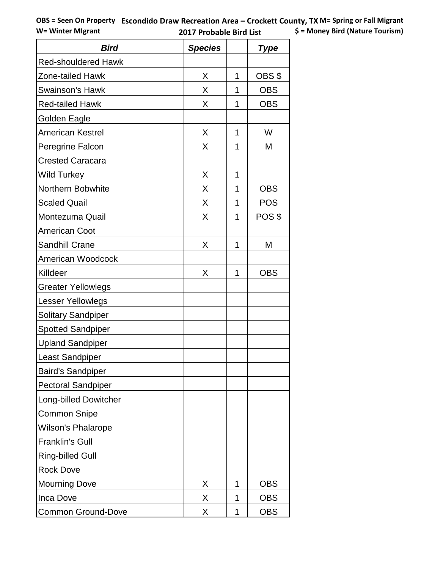| <b>Bird</b>                  | <b>Species</b> |   | <b>Type</b> |
|------------------------------|----------------|---|-------------|
| <b>Red-shouldered Hawk</b>   |                |   |             |
| Zone-tailed Hawk             | X              | 1 | OBS \$      |
| <b>Swainson's Hawk</b>       | X              | 1 | <b>OBS</b>  |
| <b>Red-tailed Hawk</b>       | X              | 1 | <b>OBS</b>  |
| Golden Eagle                 |                |   |             |
| <b>American Kestrel</b>      | Χ              | 1 | W           |
| Peregrine Falcon             | Χ              | 1 | Μ           |
| <b>Crested Caracara</b>      |                |   |             |
| <b>Wild Turkey</b>           | X              | 1 |             |
| Northern Bobwhite            | X              | 1 | <b>OBS</b>  |
| <b>Scaled Quail</b>          | X              | 1 | <b>POS</b>  |
| Montezuma Quail              | Χ              | 1 | POS \$      |
| <b>American Coot</b>         |                |   |             |
| <b>Sandhill Crane</b>        | Χ              | 1 | M           |
| <b>American Woodcock</b>     |                |   |             |
| Killdeer                     | Χ              | 1 | <b>OBS</b>  |
| <b>Greater Yellowlegs</b>    |                |   |             |
| Lesser Yellowlegs            |                |   |             |
| <b>Solitary Sandpiper</b>    |                |   |             |
| <b>Spotted Sandpiper</b>     |                |   |             |
| <b>Upland Sandpiper</b>      |                |   |             |
| Least Sandpiper              |                |   |             |
| <b>Baird's Sandpiper</b>     |                |   |             |
| <b>Pectoral Sandpiper</b>    |                |   |             |
| <b>Long-billed Dowitcher</b> |                |   |             |
| <b>Common Snipe</b>          |                |   |             |
| <b>Wilson's Phalarope</b>    |                |   |             |
| <b>Franklin's Gull</b>       |                |   |             |
| <b>Ring-billed Gull</b>      |                |   |             |
| <b>Rock Dove</b>             |                |   |             |
| <b>Mourning Dove</b>         | Χ              | 1 | <b>OBS</b>  |
| Inca Dove                    | Χ              | 1 | <b>OBS</b>  |
| <b>Common Ground-Dove</b>    | X              | 1 | <b>OBS</b>  |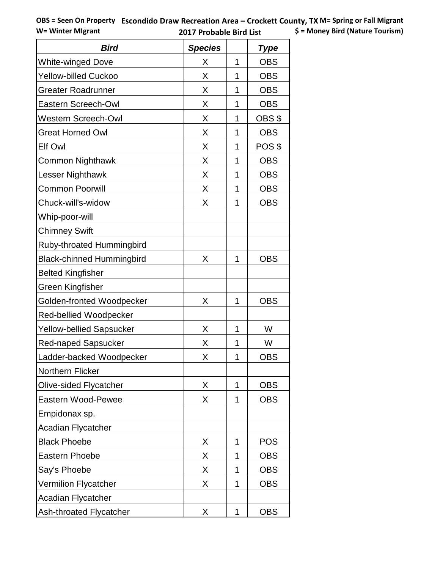| <b>Bird</b>                      | <b>Species</b> |   | Type       |
|----------------------------------|----------------|---|------------|
| <b>White-winged Dove</b>         | Χ              | 1 | <b>OBS</b> |
| Yellow-billed Cuckoo             | Χ              | 1 | <b>OBS</b> |
| Greater Roadrunner               | X              | 1 | <b>OBS</b> |
| Eastern Screech-Owl              | X              | 1 | <b>OBS</b> |
| <b>Western Screech-Owl</b>       | X              | 1 | OBS \$     |
| <b>Great Horned Owl</b>          | X              | 1 | <b>OBS</b> |
| Elf Owl                          | X              | 1 | POS \$     |
| <b>Common Nighthawk</b>          | X              | 1 | <b>OBS</b> |
| Lesser Nighthawk                 | X              | 1 | <b>OBS</b> |
| <b>Common Poorwill</b>           | X              | 1 | <b>OBS</b> |
| Chuck-will's-widow               | X              | 1 | <b>OBS</b> |
| Whip-poor-will                   |                |   |            |
| <b>Chimney Swift</b>             |                |   |            |
| <b>Ruby-throated Hummingbird</b> |                |   |            |
| <b>Black-chinned Hummingbird</b> | X              | 1 | <b>OBS</b> |
| <b>Belted Kingfisher</b>         |                |   |            |
| Green Kingfisher                 |                |   |            |
| Golden-fronted Woodpecker        | X              | 1 | <b>OBS</b> |
| Red-bellied Woodpecker           |                |   |            |
| Yellow-bellied Sapsucker         | X              | 1 | W          |
| <b>Red-naped Sapsucker</b>       | X              | 1 | W          |
| Ladder-backed Woodpecker         | Χ              | 1 | <b>OBS</b> |
| <b>Northern Flicker</b>          |                |   |            |
| <b>Olive-sided Flycatcher</b>    | X              | 1 | <b>OBS</b> |
| Eastern Wood-Pewee               | Χ              | 1 | <b>OBS</b> |
| Empidonax sp.                    |                |   |            |
| Acadian Flycatcher               |                |   |            |
| <b>Black Phoebe</b>              | X              | 1 | <b>POS</b> |
| <b>Eastern Phoebe</b>            | X              | 1 | <b>OBS</b> |
| Say's Phoebe                     | X              | 1 | <b>OBS</b> |
| <b>Vermilion Flycatcher</b>      | X              | 1 | <b>OBS</b> |
| <b>Acadian Flycatcher</b>        |                |   |            |
| Ash-throated Flycatcher          | X              | 1 | <b>OBS</b> |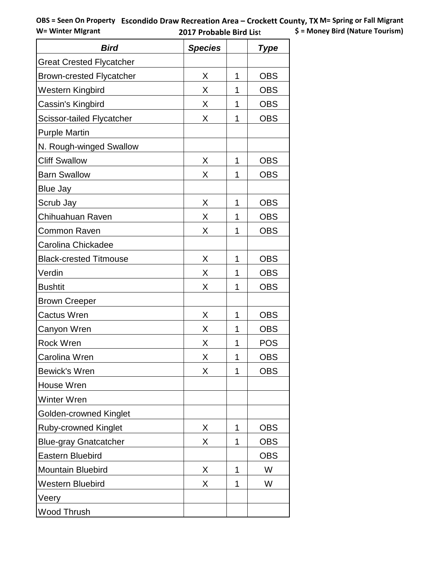| <b>Bird</b>                      | <b>Species</b> |   | <b>Type</b> |
|----------------------------------|----------------|---|-------------|
| <b>Great Crested Flycatcher</b>  |                |   |             |
| <b>Brown-crested Flycatcher</b>  | X              | 1 | <b>OBS</b>  |
| Western Kingbird                 | X              | 1 | <b>OBS</b>  |
| Cassin's Kingbird                | X              | 1 | <b>OBS</b>  |
| <b>Scissor-tailed Flycatcher</b> | Χ              | 1 | <b>OBS</b>  |
| <b>Purple Martin</b>             |                |   |             |
| N. Rough-winged Swallow          |                |   |             |
| <b>Cliff Swallow</b>             | X              | 1 | <b>OBS</b>  |
| <b>Barn Swallow</b>              | Χ              | 1 | <b>OBS</b>  |
| Blue Jay                         |                |   |             |
| Scrub Jay                        | X              | 1 | <b>OBS</b>  |
| Chihuahuan Raven                 | X              | 1 | <b>OBS</b>  |
| Common Raven                     | X              |   | <b>OBS</b>  |
| Carolina Chickadee               |                |   |             |
| <b>Black-crested Titmouse</b>    | X              | 1 | <b>OBS</b>  |
| Verdin                           | X              | 1 | <b>OBS</b>  |
| <b>Bushtit</b>                   | Χ              | 1 | <b>OBS</b>  |
| <b>Brown Creeper</b>             |                |   |             |
| <b>Cactus Wren</b>               | X              | 1 | <b>OBS</b>  |
| Canyon Wren                      | X              | 1 | <b>OBS</b>  |
| <b>Rock Wren</b>                 | X              | 1 | <b>POS</b>  |
| Carolina Wren                    | X              | 1 | <b>OBS</b>  |
| <b>Bewick's Wren</b>             | X              | 1 | <b>OBS</b>  |
| House Wren                       |                |   |             |
| Winter Wren                      |                |   |             |
| Golden-crowned Kinglet           |                |   |             |
| <b>Ruby-crowned Kinglet</b>      | X              | 1 | <b>OBS</b>  |
| <b>Blue-gray Gnatcatcher</b>     | Χ              | 1 | <b>OBS</b>  |
| <b>Eastern Bluebird</b>          |                |   | <b>OBS</b>  |
| <b>Mountain Bluebird</b>         | X              | 1 | W           |
| <b>Western Bluebird</b>          | Χ              | 1 | W           |
| Veery                            |                |   |             |
| Wood Thrush                      |                |   |             |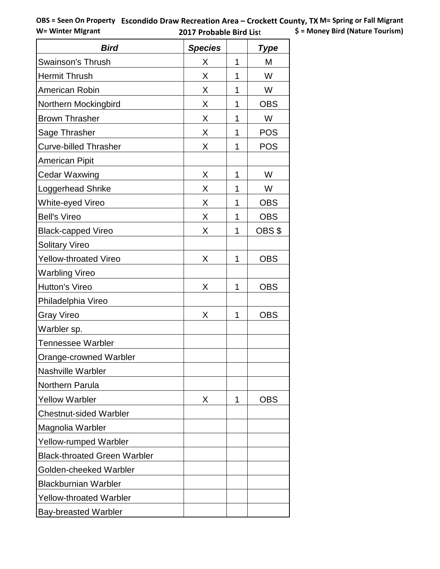| <b>Bird</b>                         | <b>Species</b> |   | <b>Type</b> |
|-------------------------------------|----------------|---|-------------|
| <b>Swainson's Thrush</b>            | X              | 1 | M           |
| <b>Hermit Thrush</b>                | X              | 1 | W           |
| American Robin                      | X              | 1 | W           |
| Northern Mockingbird                | X              | 1 | <b>OBS</b>  |
| <b>Brown Thrasher</b>               | X              | 1 | W           |
| Sage Thrasher                       | X              | 1 | <b>POS</b>  |
| <b>Curve-billed Thrasher</b>        | X              | 1 | <b>POS</b>  |
| <b>American Pipit</b>               |                |   |             |
| Cedar Waxwing                       | X              | 1 | W           |
| Loggerhead Shrike                   | Χ              | 1 | W           |
| White-eyed Vireo                    | X              | 1 | <b>OBS</b>  |
| <b>Bell's Vireo</b>                 | X              | 1 | <b>OBS</b>  |
| <b>Black-capped Vireo</b>           | X              | 1 | OBS \$      |
| <b>Solitary Vireo</b>               |                |   |             |
| <b>Yellow-throated Vireo</b>        | X              | 1 | <b>OBS</b>  |
| <b>Warbling Vireo</b>               |                |   |             |
| <b>Hutton's Vireo</b>               | X              | 1 | <b>OBS</b>  |
| Philadelphia Vireo                  |                |   |             |
| <b>Gray Vireo</b>                   | X              | 1 | <b>OBS</b>  |
| Warbler sp.                         |                |   |             |
| <b>Tennessee Warbler</b>            |                |   |             |
| Orange-crowned Warbler              |                |   |             |
| <b>Nashville Warbler</b>            |                |   |             |
| <b>Northern Parula</b>              |                |   |             |
| <b>Yellow Warbler</b>               | X              | 1 | OBS         |
| <b>Chestnut-sided Warbler</b>       |                |   |             |
| Magnolia Warbler                    |                |   |             |
| <b>Yellow-rumped Warbler</b>        |                |   |             |
| <b>Black-throated Green Warbler</b> |                |   |             |
| Golden-cheeked Warbler              |                |   |             |
| <b>Blackburnian Warbler</b>         |                |   |             |
| <b>Yellow-throated Warbler</b>      |                |   |             |
| <b>Bay-breasted Warbler</b>         |                |   |             |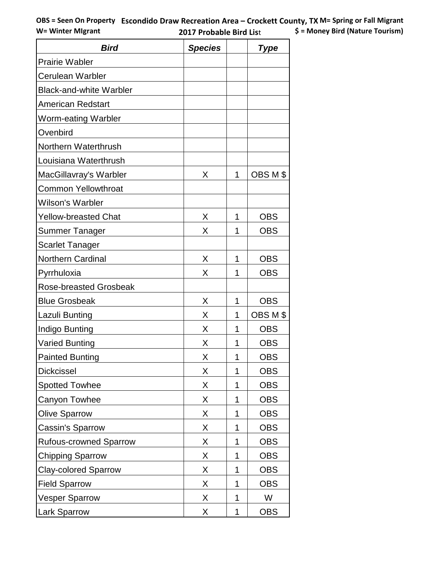| <b>Bird</b>                    | <b>Species</b> |   | <b>Type</b> |
|--------------------------------|----------------|---|-------------|
| <b>Prairie Wabler</b>          |                |   |             |
| <b>Cerulean Warbler</b>        |                |   |             |
| <b>Black-and-white Warbler</b> |                |   |             |
| <b>American Redstart</b>       |                |   |             |
| Worm-eating Warbler            |                |   |             |
| Ovenbird                       |                |   |             |
| Northern Waterthrush           |                |   |             |
| Louisiana Waterthrush          |                |   |             |
| MacGillavray's Warbler         | X              | 1 | OBS M \$    |
| <b>Common Yellowthroat</b>     |                |   |             |
| <b>Wilson's Warbler</b>        |                |   |             |
| <b>Yellow-breasted Chat</b>    | X              | 1 | <b>OBS</b>  |
| Summer Tanager                 | X              | 1 | <b>OBS</b>  |
| <b>Scarlet Tanager</b>         |                |   |             |
| <b>Northern Cardinal</b>       | X              | 1 | <b>OBS</b>  |
| Pyrrhuloxia                    | X              | 1 | <b>OBS</b>  |
| <b>Rose-breasted Grosbeak</b>  |                |   |             |
| <b>Blue Grosbeak</b>           | X              | 1 | <b>OBS</b>  |
| Lazuli Bunting                 | X              | 1 | OBS M \$    |
| Indigo Bunting                 | X              | 1 | <b>OBS</b>  |
| <b>Varied Bunting</b>          | Χ              | 1 | <b>OBS</b>  |
| <b>Painted Bunting</b>         | Х              | 1 | <b>OBS</b>  |
| <b>Dickcissel</b>              | Χ              | 1 | <b>OBS</b>  |
| <b>Spotted Towhee</b>          | Χ              | 1 | <b>OBS</b>  |
| Canyon Towhee                  | Χ              | 1 | <b>OBS</b>  |
| <b>Olive Sparrow</b>           | Χ              | 1 | <b>OBS</b>  |
| Cassin's Sparrow               | Χ              | 1 | <b>OBS</b>  |
| <b>Rufous-crowned Sparrow</b>  | Χ              | 1 | <b>OBS</b>  |
| <b>Chipping Sparrow</b>        | Χ              | 1 | <b>OBS</b>  |
| <b>Clay-colored Sparrow</b>    | X              | 1 | <b>OBS</b>  |
| <b>Field Sparrow</b>           | Χ              | 1 | <b>OBS</b>  |
| <b>Vesper Sparrow</b>          | Χ              | 1 | W           |
| Lark Sparrow                   | Χ              | 1 | <b>OBS</b>  |